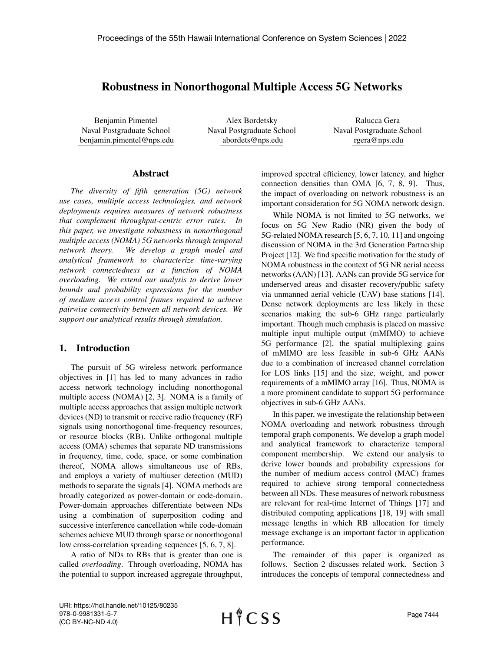# Robustness in Nonorthogonal Multiple Access 5G Networks

Benjamin Pimentel Naval Postgraduate School benjamin.pimentel@nps.edu

Alex Bordetsky Naval Postgraduate School abordets@nps.edu

Ralucca Gera Naval Postgraduate School rgera@nps.edu

### Abstract

*The diversity of fifth generation (5G) network use cases, multiple access technologies, and network deployments requires measures of network robustness that complement throughput-centric error rates. In this paper, we investigate robustness in nonorthogonal multiple access (NOMA) 5G networks through temporal network theory. We develop a graph model and analytical framework to characterize time-varying network connectedness as a function of NOMA overloading. We extend our analysis to derive lower bounds and probability expressions for the number of medium access control frames required to achieve pairwise connectivity between all network devices. We support our analytical results through simulation.*

## 1. Introduction

The pursuit of 5G wireless network performance objectives in [1] has led to many advances in radio access network technology including nonorthogonal multiple access (NOMA) [2, 3]. NOMA is a family of multiple access approaches that assign multiple network devices (ND) to transmit or receive radio frequency (RF) signals using nonorthogonal time-frequency resources, or resource blocks (RB). Unlike orthogonal multiple access (OMA) schemes that separate ND transmissions in frequency, time, code, space, or some combination thereof, NOMA allows simultaneous use of RBs, and employs a variety of multiuser detection (MUD) methods to separate the signals [4]. NOMA methods are broadly categorized as power-domain or code-domain. Power-domain approaches differentiate between NDs using a combination of superposition coding and successive interference cancellation while code-domain schemes achieve MUD through sparse or nonorthogonal low cross-correlation spreading sequences [5, 6, 7, 8].

A ratio of NDs to RBs that is greater than one is called *overloading*. Through overloading, NOMA has the potential to support increased aggregate throughput, improved spectral efficiency, lower latency, and higher connection densities than OMA [6, 7, 8, 9]. Thus, the impact of overloading on network robustness is an important consideration for 5G NOMA network design.

While NOMA is not limited to 5G networks, we focus on 5G New Radio (NR) given the body of 5G-related NOMA research [5, 6, 7, 10, 11] and ongoing discussion of NOMA in the 3rd Generation Partnership Project [12]. We find specific motivation for the study of NOMA robustness in the context of 5G NR aerial access networks (AAN) [13]. AANs can provide 5G service for underserved areas and disaster recovery/public safety via unmanned aerial vehicle (UAV) base stations [14]. Dense network deployments are less likely in these scenarios making the sub-6 GHz range particularly important. Though much emphasis is placed on massive multiple input multiple output (mMIMO) to achieve 5G performance [2], the spatial multiplexing gains of mMIMO are less feasible in sub-6 GHz AANs due to a combination of increased channel correlation for LOS links [15] and the size, weight, and power requirements of a mMIMO array [16]. Thus, NOMA is a more prominent candidate to support 5G performance objectives in sub-6 GHz AANs.

In this paper, we investigate the relationship between NOMA overloading and network robustness through temporal graph components. We develop a graph model and analytical framework to characterize temporal component membership. We extend our analysis to derive lower bounds and probability expressions for the number of medium access control (MAC) frames required to achieve strong temporal connectedness between all NDs. These measures of network robustness are relevant for real-time Internet of Things [17] and distributed computing applications [18, 19] with small message lengths in which RB allocation for timely message exchange is an important factor in application performance.

The remainder of this paper is organized as follows. Section 2 discusses related work. Section 3 introduces the concepts of temporal connectedness and

URI: https://hdl.handle.net/10125/80235 978-0-9981331-5-7 (CC BY-NC-ND 4.0)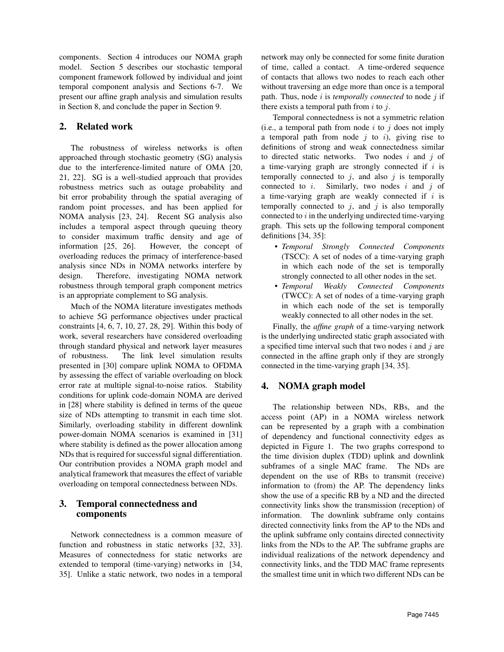components. Section 4 introduces our NOMA graph model. Section 5 describes our stochastic temporal component framework followed by individual and joint temporal component analysis and Sections 6-7. We present our affine graph analysis and simulation results in Section 8, and conclude the paper in Section 9.

# 2. Related work

The robustness of wireless networks is often approached through stochastic geometry (SG) analysis due to the interference-limited nature of OMA [20, 21, 22]. SG is a well-studied approach that provides robustness metrics such as outage probability and bit error probability through the spatial averaging of random point processes, and has been applied for NOMA analysis [23, 24]. Recent SG analysis also includes a temporal aspect through queuing theory to consider maximum traffic density and age of information [25, 26]. However, the concept of overloading reduces the primacy of interference-based analysis since NDs in NOMA networks interfere by design. Therefore, investigating NOMA network robustness through temporal graph component metrics is an appropriate complement to SG analysis.

Much of the NOMA literature investigates methods to achieve 5G performance objectives under practical constraints [4, 6, 7, 10, 27, 28, 29]. Within this body of work, several researchers have considered overloading through standard physical and network layer measures of robustness. The link level simulation results presented in [30] compare uplink NOMA to OFDMA by assessing the effect of variable overloading on block error rate at multiple signal-to-noise ratios. Stability conditions for uplink code-domain NOMA are derived in [28] where stability is defined in terms of the queue size of NDs attempting to transmit in each time slot. Similarly, overloading stability in different downlink power-domain NOMA scenarios is examined in [31] where stability is defined as the power allocation among NDs that is required for successful signal differentiation. Our contribution provides a NOMA graph model and analytical framework that measures the effect of variable overloading on temporal connectedness between NDs.

# 3. Temporal connectedness and components

Network connectedness is a common measure of function and robustness in static networks [32, 33]. Measures of connectedness for static networks are extended to temporal (time-varying) networks in [34, 35]. Unlike a static network, two nodes in a temporal network may only be connected for some finite duration of time, called a contact. A time-ordered sequence of contacts that allows two nodes to reach each other without traversing an edge more than once is a temporal path. Thus, node  $i$  is *temporally connected* to node  $j$  if there exists a temporal path from  $i$  to  $j$ .

Temporal connectedness is not a symmetric relation (i.e., a temporal path from node  $i$  to  $j$  does not imply a temporal path from node  $i$  to  $i$ ), giving rise to definitions of strong and weak connectedness similar to directed static networks. Two nodes  $i$  and  $j$  of a time-varying graph are strongly connected if  $i$  is temporally connected to  $j$ , and also  $j$  is temporally connected to  $i$ . Similarly, two nodes  $i$  and  $j$  of a time-varying graph are weakly connected if  $i$  is temporally connected to  $j$ , and  $j$  is also temporally connected to  $i$  in the underlying undirected time-varying graph. This sets up the following temporal component definitions [34, 35]:

- *Temporal Strongly Connected Components* (TSCC): A set of nodes of a time-varying graph in which each node of the set is temporally strongly connected to all other nodes in the set.
- *Temporal Weakly Connected Components* (TWCC): A set of nodes of a time-varying graph in which each node of the set is temporally weakly connected to all other nodes in the set.

Finally, the *affine graph* of a time-varying network is the underlying undirected static graph associated with a specified time interval such that two nodes  $i$  and  $j$  are connected in the affine graph only if they are strongly connected in the time-varying graph [34, 35].

# 4. NOMA graph model

The relationship between NDs, RBs, and the access point (AP) in a NOMA wireless network can be represented by a graph with a combination of dependency and functional connectivity edges as depicted in Figure 1. The two graphs correspond to the time division duplex (TDD) uplink and downlink subframes of a single MAC frame. The NDs are dependent on the use of RBs to transmit (receive) information to (from) the AP. The dependency links show the use of a specific RB by a ND and the directed connectivity links show the transmission (reception) of information. The downlink subframe only contains directed connectivity links from the AP to the NDs and the uplink subframe only contains directed connectivity links from the NDs to the AP. The subframe graphs are individual realizations of the network dependency and connectivity links, and the TDD MAC frame represents the smallest time unit in which two different NDs can be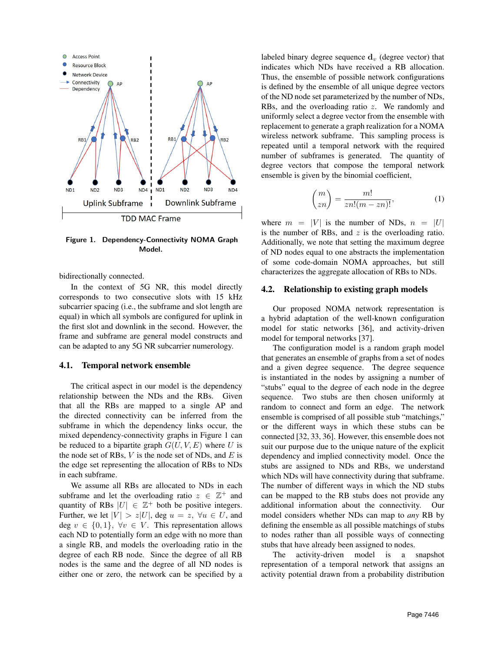

Figure 1. Dependency-Connectivity NOMA Graph Model.

bidirectionally connected.

In the context of 5G NR, this model directly corresponds to two consecutive slots with 15 kHz subcarrier spacing (i.e., the subframe and slot length are equal) in which all symbols are configured for uplink in the first slot and downlink in the second. However, the frame and subframe are general model constructs and can be adapted to any 5G NR subcarrier numerology.

### 4.1. Temporal network ensemble

The critical aspect in our model is the dependency relationship between the NDs and the RBs. Given that all the RBs are mapped to a single AP and the directed connectivity can be inferred from the subframe in which the dependency links occur, the mixed dependency-connectivity graphs in Figure 1 can be reduced to a bipartite graph  $G(U, V, E)$  where U is the node set of RBs,  $V$  is the node set of NDs, and  $E$  is the edge set representing the allocation of RBs to NDs in each subframe.

We assume all RBs are allocated to NDs in each subframe and let the overloading ratio  $z \in \mathbb{Z}^+$  and quantity of RBs  $|U| \in \mathbb{Z}^+$  both be positive integers. Further, we let  $|V| > z|U|$ , deg  $u = z$ ,  $\forall u \in U$ , and deg  $v \in \{0, 1\}, \forall v \in V$ . This representation allows each ND to potentially form an edge with no more than a single RB, and models the overloading ratio in the degree of each RB node. Since the degree of all RB nodes is the same and the degree of all ND nodes is either one or zero, the network can be specified by a labeled binary degree sequence  $\mathbf{d}_v$  (degree vector) that indicates which NDs have received a RB allocation. Thus, the ensemble of possible network configurations is defined by the ensemble of all unique degree vectors of the ND node set parameterized by the number of NDs, RBs, and the overloading ratio z. We randomly and uniformly select a degree vector from the ensemble with replacement to generate a graph realization for a NOMA wireless network subframe. This sampling process is repeated until a temporal network with the required number of subframes is generated. The quantity of degree vectors that compose the temporal network ensemble is given by the binomial coefficient,

$$
\binom{m}{zn} = \frac{m!}{zn!(m-zn)!},\tag{1}
$$

where  $m = |V|$  is the number of NDs,  $n = |U|$ is the number of RBs, and  $z$  is the overloading ratio. Additionally, we note that setting the maximum degree of ND nodes equal to one abstracts the implementation of some code-domain NOMA approaches, but still characterizes the aggregate allocation of RBs to NDs.

## 4.2. Relationship to existing graph models

Our proposed NOMA network representation is a hybrid adaptation of the well-known configuration model for static networks [36], and activity-driven model for temporal networks [37].

The configuration model is a random graph model that generates an ensemble of graphs from a set of nodes and a given degree sequence. The degree sequence is instantiated in the nodes by assigning a number of "stubs" equal to the degree of each node in the degree sequence. Two stubs are then chosen uniformly at random to connect and form an edge. The network ensemble is comprised of all possible stub "matchings," or the different ways in which these stubs can be connected [32, 33, 36]. However, this ensemble does not suit our purpose due to the unique nature of the explicit dependency and implied connectivity model. Once the stubs are assigned to NDs and RBs, we understand which NDs will have connectivity during that subframe. The number of different ways in which the ND stubs can be mapped to the RB stubs does not provide any additional information about the connectivity. Our model considers whether NDs can map to *any* RB by defining the ensemble as all possible matchings of stubs to nodes rather than all possible ways of connecting stubs that have already been assigned to nodes.

The activity-driven model is a snapshot representation of a temporal network that assigns an activity potential drawn from a probability distribution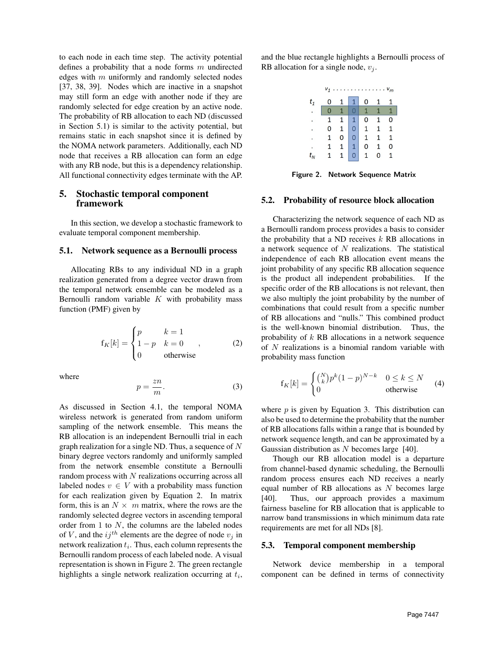to each node in each time step. The activity potential defines a probability that a node forms  $m$  undirected edges with  $m$  uniformly and randomly selected nodes [37, 38, 39]. Nodes which are inactive in a snapshot may still form an edge with another node if they are randomly selected for edge creation by an active node. The probability of RB allocation to each ND (discussed in Section 5.1) is similar to the activity potential, but remains static in each snapshot since it is defined by the NOMA network parameters. Additionally, each ND node that receives a RB allocation can form an edge with any RB node, but this is a dependency relationship. All functional connectivity edges terminate with the AP.

# 5. Stochastic temporal component framework

In this section, we develop a stochastic framework to evaluate temporal component membership.

### 5.1. Network sequence as a Bernoulli process

Allocating RBs to any individual ND in a graph realization generated from a degree vector drawn from the temporal network ensemble can be modeled as a Bernoulli random variable  $K$  with probability mass function (PMF) given by

$$
f_K[k] = \begin{cases} p & k = 1 \\ 1 - p & k = 0 \\ 0 & \text{otherwise} \end{cases}
$$
 (2)

where

$$
p = \frac{zn}{m}.\tag{3}
$$

As discussed in Section 4.1, the temporal NOMA wireless network is generated from random uniform sampling of the network ensemble. This means the RB allocation is an independent Bernoulli trial in each graph realization for a single ND. Thus, a sequence of N binary degree vectors randomly and uniformly sampled from the network ensemble constitute a Bernoulli random process with N realizations occurring across all labeled nodes  $v \in V$  with a probability mass function for each realization given by Equation 2. In matrix form, this is an  $N \times m$  matrix, where the rows are the randomly selected degree vectors in ascending temporal order from 1 to N, the columns are the labeled nodes of V, and the  $ij^{th}$  elements are the degree of node  $v_j$  in network realization  $t_i$ . Thus, each column represents the Bernoulli random process of each labeled node. A visual representation is shown in Figure 2. The green rectangle highlights a single network realization occurring at  $t_i$ ,

and the blue rectangle highlights a Bernoulli process of RB allocation for a single node,  $v_i$ .

| $v_1 \ldots \ldots \ldots \ldots \ldots v_m$ |                |              |                |                                                        |                |                |  |  |
|----------------------------------------------|----------------|--------------|----------------|--------------------------------------------------------|----------------|----------------|--|--|
| $t_1$                                        | 0              | $\mathbf{1}$ | 1              | $\mathbf 0$                                            | $\mathbf{1}$   |                |  |  |
|                                              | $\overline{0}$ | 1            |                | $\begin{array}{ c c c c }\n\hline\n0&1&1\n\end{array}$ |                | $\overline{1}$ |  |  |
|                                              | $\mathbf{1}$   | $\mathbf{1}$ |                | $1$ 0                                                  | $\overline{1}$ | O              |  |  |
|                                              | 0              | $\mathbf{1}$ |                | $0 \quad 1$                                            | $\mathbf{1}$   | $\mathbf{1}$   |  |  |
|                                              | 1              | 0            |                | $\mathbf{1}$                                           | $\mathbf{1}$   | $\overline{1}$ |  |  |
|                                              | $\mathbf{1}$   | $\mathbf{1}$ |                | $\overline{0}$                                         | $\mathbf{1}$   | $\overline{0}$ |  |  |
| $t_{\scriptscriptstyle{M}}$                  | $\mathbf{1}$   | $\mathbf{1}$ | $\overline{0}$ | $\mathbf{1}$                                           | 0              | $\mathbf{1}$   |  |  |

Figure 2. Network Sequence Matrix

### 5.2. Probability of resource block allocation

Characterizing the network sequence of each ND as a Bernoulli random process provides a basis to consider the probability that a ND receives  $k$  RB allocations in a network sequence of  $N$  realizations. The statistical independence of each RB allocation event means the joint probability of any specific RB allocation sequence is the product all independent probabilities. If the specific order of the RB allocations is not relevant, then we also multiply the joint probability by the number of combinations that could result from a specific number of RB allocations and "nulls." This combined product is the well-known binomial distribution. Thus, the probability of  $k$  RB allocations in a network sequence of N realizations is a binomial random variable with probability mass function

$$
f_K[k] = \begin{cases} {N \choose k} p^k (1-p)^{N-k} & 0 \le k \le N \\ 0 & \text{otherwise} \end{cases}
$$
 (4)

where  $p$  is given by Equation 3. This distribution can also be used to determine the probability that the number of RB allocations falls within a range that is bounded by network sequence length, and can be approximated by a Gaussian distribution as N becomes large [40].

Though our RB allocation model is a departure from channel-based dynamic scheduling, the Bernoulli random process ensures each ND receives a nearly equal number of RB allocations as  $N$  becomes large [40]. Thus, our approach provides a maximum fairness baseline for RB allocation that is applicable to narrow band transmissions in which minimum data rate requirements are met for all NDs [8].

#### 5.3. Temporal component membership

Network device membership in a temporal component can be defined in terms of connectivity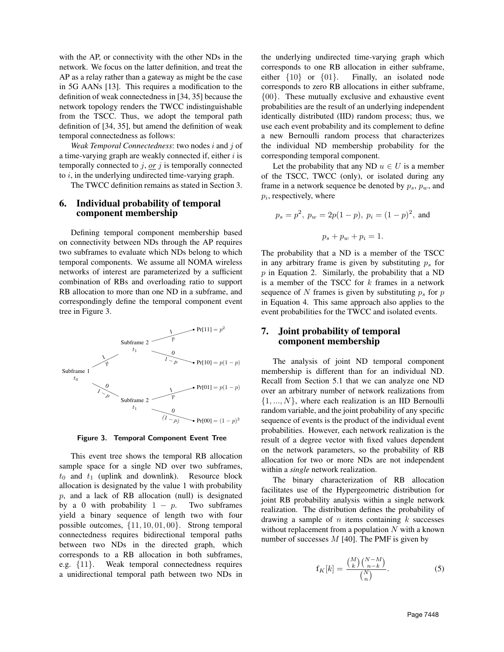with the AP, or connectivity with the other NDs in the network. We focus on the latter definition, and treat the AP as a relay rather than a gateway as might be the case in 5G AANs [13]. This requires a modification to the definition of weak connectedness in [34, 35] because the network topology renders the TWCC indistinguishable from the TSCC. Thus, we adopt the temporal path definition of [34, 35], but amend the definition of weak temporal connectedness as follows:

*Weak Temporal Connectedness*: two nodes i and j of a time-varying graph are weakly connected if, either  $i$  is temporally connected to  $j$ , *or*  $j$  is temporally connected to  $i$ , in the underlying undirected time-varying graph.

The TWCC definition remains as stated in Section 3.

# 6. Individual probability of temporal component membership

Defining temporal component membership based on connectivity between NDs through the AP requires two subframes to evaluate which NDs belong to which temporal components. We assume all NOMA wireless networks of interest are parameterized by a sufficient combination of RBs and overloading ratio to support RB allocation to more than one ND in a subframe, and correspondingly define the temporal component event tree in Figure 3.



Figure 3. Temporal Component Event Tree

This event tree shows the temporal RB allocation sample space for a single ND over two subframes,  $t_0$  and  $t_1$  (uplink and downlink). Resource block allocation is designated by the value 1 with probability  $p$ , and a lack of RB allocation (null) is designated by a 0 with probability  $1 - p$ . Two subframes yield a binary sequence of length two with four possible outcomes, {11, 10, 01, 00}. Strong temporal connectedness requires bidirectional temporal paths between two NDs in the directed graph, which corresponds to a RB allocation in both subframes, e.g. {11}. Weak temporal connectedness requires a unidirectional temporal path between two NDs in

the underlying undirected time-varying graph which corresponds to one RB allocation in either subframe, either {10} or {01}. Finally, an isolated node corresponds to zero RB allocations in either subframe, {00}. These mutually exclusive and exhaustive event probabilities are the result of an underlying independent identically distributed (IID) random process; thus, we use each event probability and its complement to define a new Bernoulli random process that characterizes the individual ND membership probability for the corresponding temporal component.

Let the probability that any ND  $u \in U$  is a member of the TSCC, TWCC (only), or isolated during any frame in a network sequence be denoted by  $p_s$ ,  $p_w$ , and  $p_i$ , respectively, where

$$
p_s = p^2
$$
,  $p_w = 2p(1-p)$ ,  $p_i = (1-p)^2$ , and  
 $p_s + p_w + p_i = 1$ .

The probability that a ND is a member of the TSCC in any arbitrary frame is given by substituting  $p<sub>s</sub>$  for  $p$  in Equation 2. Similarly, the probability that a ND is a member of the TSCC for  $k$  frames in a network sequence of N frames is given by substituting  $p_s$  for p in Equation 4. This same approach also applies to the event probabilities for the TWCC and isolated events.

# 7. Joint probability of temporal component membership

The analysis of joint ND temporal component membership is different than for an individual ND. Recall from Section 5.1 that we can analyze one ND over an arbitrary number of network realizations from  $\{1, ..., N\}$ , where each realization is an IID Bernoulli random variable, and the joint probability of any specific sequence of events is the product of the individual event probabilities. However, each network realization is the result of a degree vector with fixed values dependent on the network parameters, so the probability of RB allocation for two or more NDs are not independent within a *single* network realization.

The binary characterization of RB allocation facilitates use of the Hypergeometric distribution for joint RB probability analysis within a single network realization. The distribution defines the probability of drawing a sample of  $n$  items containing  $k$  successes without replacement from a population  $N$  with a known number of successes  $M$  [40]. The PMF is given by

$$
f_K[k] = \frac{\binom{M}{k} \binom{N-M}{n-k}}{\binom{N}{n}}.
$$
 (5)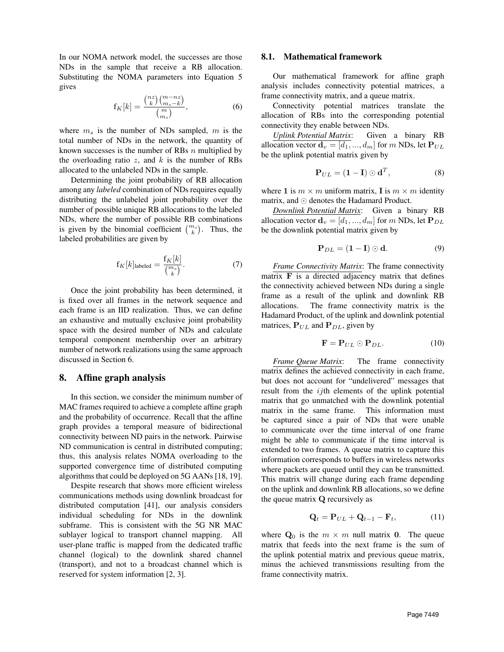In our NOMA network model, the successes are those NDs in the sample that receive a RB allocation. Substituting the NOMA parameters into Equation 5 gives

$$
f_K[k] = \frac{\binom{nz}{k}\binom{m-nz}{m_s-k}}{\binom{m}{m_s}},\tag{6}
$$

where  $m<sub>s</sub>$  is the number of NDs sampled, m is the total number of NDs in the network, the quantity of known successes is the number of RBs  $n$  multiplied by the overloading ratio  $z$ , and  $k$  is the number of RBs allocated to the unlabeled NDs in the sample.

Determining the joint probability of RB allocation among any *labeled* combination of NDs requires equally distributing the unlabeled joint probability over the number of possible unique RB allocations to the labeled NDs, where the number of possible RB combinations is given by the binomial coefficient  $\binom{m_s}{k}$ . Thus, the labeled probabilities are given by

$$
f_K[k]_{\text{labeled}} = \frac{f_K[k]}{\binom{m_s}{k}}.\tag{7}
$$

Once the joint probability has been determined, it is fixed over all frames in the network sequence and each frame is an IID realization. Thus, we can define an exhaustive and mutually exclusive joint probability space with the desired number of NDs and calculate temporal component membership over an arbitrary number of network realizations using the same approach discussed in Section 6.

#### 8. Affine graph analysis

In this section, we consider the minimum number of MAC frames required to achieve a complete affine graph and the probability of occurrence. Recall that the affine graph provides a temporal measure of bidirectional connectivity between ND pairs in the network. Pairwise ND communication is central in distributed computing; thus, this analysis relates NOMA overloading to the supported convergence time of distributed computing algorithms that could be deployed on 5G AANs [18, 19].

Despite research that shows more efficient wireless communications methods using downlink broadcast for distributed computation [41], our analysis considers individual scheduling for NDs in the downlink subframe. This is consistent with the 5G NR MAC sublayer logical to transport channel mapping. All user-plane traffic is mapped from the dedicated traffic channel (logical) to the downlink shared channel (transport), and not to a broadcast channel which is reserved for system information [2, 3].

#### 8.1. Mathematical framework

Our mathematical framework for affine graph analysis includes connectivity potential matrices, a frame connectivity matrix, and a queue matrix.

Connectivity potential matrices translate the allocation of RBs into the corresponding potential connectivity they enable between NDs.

*Uplink Potential Matrix*: Given a binary RB allocation vector  $\mathbf{d}_v = [\overline{d_1}, \dots, d_m]$  for m NDs, let  $\mathbf{P}_{UL}$ be the uplink potential matrix given by

$$
\mathbf{P}_{UL} = (\mathbf{1} - \mathbf{I}) \odot \mathbf{d}^T, \tag{8}
$$

where 1 is  $m \times m$  uniform matrix, I is  $m \times m$  identity matrix, and  $\odot$  denotes the Hadamard Product.

*Downlink Potential Matrix*: Given a binary RB allocation vector  $\mathbf{d}_v = [d_1, ..., d_m]$  for m NDs, let  $\mathbf{P}_{DL}$ be the downlink potential matrix given by

$$
\mathbf{P}_{DL} = (\mathbf{1} - \mathbf{I}) \odot \mathbf{d}.\tag{9}
$$

*Frame Connectivity Matrix*: The frame connectivity matrix  $\bf{F}$  is a directed adjacency matrix that defines the connectivity achieved between NDs during a single frame as a result of the uplink and downlink RB allocations. The frame connectivity matrix is the Hadamard Product, of the uplink and downlink potential matrices,  $P_{UL}$  and  $P_{DL}$ , given by

$$
\mathbf{F} = \mathbf{P}_{UL} \odot \mathbf{P}_{DL}. \tag{10}
$$

*Frame Queue Matrix*: The frame connectivity matrix defines the achieved connectivity in each frame, but does not account for "undelivered" messages that result from the  $i$ jth elements of the uplink potential matrix that go unmatched with the downlink potential matrix in the same frame. This information must be captured since a pair of NDs that were unable to communicate over the time interval of one frame might be able to communicate if the time interval is extended to two frames. A queue matrix to capture this information corresponds to buffers in wireless networks where packets are queued until they can be transmitted. This matrix will change during each frame depending on the uplink and downlink RB allocations, so we define the queue matrix Q recursively as

$$
\mathbf{Q}_t = \mathbf{P}_{UL} + \mathbf{Q}_{t-1} - \mathbf{F}_t, \tag{11}
$$

where  $Q_0$  is the  $m \times m$  null matrix 0. The queue matrix that feeds into the next frame is the sum of the uplink potential matrix and previous queue matrix, minus the achieved transmissions resulting from the frame connectivity matrix.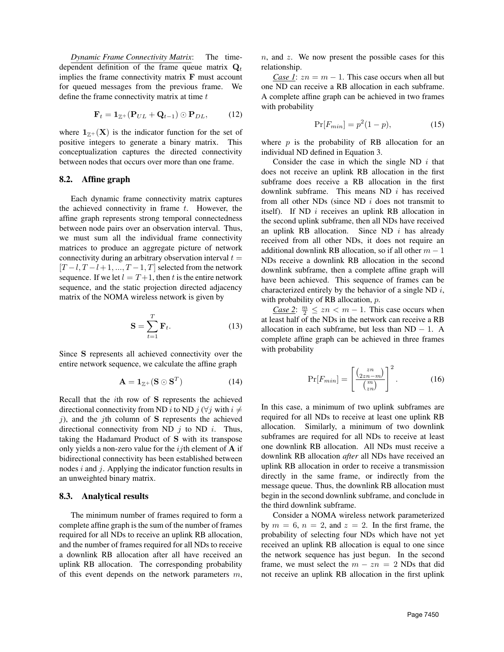*Dynamic Frame Connectivity Matrix*: The timedependent definition of the frame queue matrix  $Q_t$ implies the frame connectivity matrix F must account for queued messages from the previous frame. We define the frame connectivity matrix at time  $t$ 

$$
\mathbf{F}_t = \mathbf{1}_{\mathbb{Z}^+} (\mathbf{P}_{UL} + \mathbf{Q}_{t-1}) \odot \mathbf{P}_{DL}, \quad (12)
$$

where  $1_{\mathbb{Z}+}(\mathbf{X})$  is the indicator function for the set of positive integers to generate a binary matrix. This conceptualization captures the directed connectivity between nodes that occurs over more than one frame.

## 8.2. Affine graph

Each dynamic frame connectivity matrix captures the achieved connectivity in frame  $t$ . However, the affine graph represents strong temporal connectedness between node pairs over an observation interval. Thus, we must sum all the individual frame connectivity matrices to produce an aggregate picture of network connectivity during an arbitrary observation interval  $t =$  $[T - l, T - l + 1, ..., T - 1, T]$  selected from the network sequence. If we let  $l = T+1$ , then t is the entire network sequence, and the static projection directed adjacency matrix of the NOMA wireless network is given by

$$
\mathbf{S} = \sum_{t=1}^{T} \mathbf{F}_t.
$$
 (13)

Since S represents all achieved connectivity over the entire network sequence, we calculate the affine graph

$$
\mathbf{A} = \mathbf{1}_{\mathbb{Z}^+} (\mathbf{S} \odot \mathbf{S}^T) \tag{14}
$$

Recall that the ith row of S represents the achieved directional connectivity from ND i to ND j ( $\forall j$  with  $i \neq j$  $j$ ), and the jth column of S represents the achieved directional connectivity from ND  $j$  to ND  $i$ . Thus, taking the Hadamard Product of S with its transpose only yields a non-zero value for the  $ij$ th element of  $A$  if bidirectional connectivity has been established between nodes  $i$  and  $j$ . Applying the indicator function results in an unweighted binary matrix.

#### 8.3. Analytical results

The minimum number of frames required to form a complete affine graph is the sum of the number of frames required for all NDs to receive an uplink RB allocation, and the number of frames required for all NDs to receive a downlink RB allocation after all have received an uplink RB allocation. The corresponding probability of this event depends on the network parameters  $m$ ,  $n$ , and  $z$ . We now present the possible cases for this relationship.

*Case 1*:  $zn = m - 1$ . This case occurs when all but one ND can receive a RB allocation in each subframe. A complete affine graph can be achieved in two frames with probability

$$
\Pr[F_{min}] = p^2(1-p),\tag{15}
$$

where  $p$  is the probability of RB allocation for an individual ND defined in Equation 3.

Consider the case in which the single ND  $i$  that does not receive an uplink RB allocation in the first subframe does receive a RB allocation in the first downlink subframe. This means  $ND$  *i* has received from all other NDs (since ND  $i$  does not transmit to itself). If ND  $i$  receives an uplink RB allocation in the second uplink subframe, then all NDs have received an uplink RB allocation. Since ND  $i$  has already received from all other NDs, it does not require an additional downlink RB allocation, so if all other  $m - 1$ NDs receive a downlink RB allocation in the second downlink subframe, then a complete affine graph will have been achieved. This sequence of frames can be characterized entirely by the behavior of a single ND  $i$ , with probability of RB allocation, *p*.

*<u>Case 2</u>*:  $\frac{m}{2} \leq zn < m - 1$ . This case occurs when at least half of the NDs in the network can receive a RB allocation in each subframe, but less than  $ND - 1$ . A complete affine graph can be achieved in three frames with probability

$$
\Pr[F_{min}] = \left[\frac{\binom{zn}{2zn-m}}{\binom{m}{zn}}\right]^2.
$$
 (16)

In this case, a minimum of two uplink subframes are required for all NDs to receive at least one uplink RB allocation. Similarly, a minimum of two downlink subframes are required for all NDs to receive at least one downlink RB allocation. All NDs must receive a downlink RB allocation *after* all NDs have received an uplink RB allocation in order to receive a transmission directly in the same frame, or indirectly from the message queue. Thus, the downlink RB allocation must begin in the second downlink subframe, and conclude in the third downlink subframe.

Consider a NOMA wireless network parameterized by  $m = 6$ ,  $n = 2$ , and  $z = 2$ . In the first frame, the probability of selecting four NDs which have not yet received an uplink RB allocation is equal to one since the network sequence has just begun. In the second frame, we must select the  $m - zn = 2$  NDs that did not receive an uplink RB allocation in the first uplink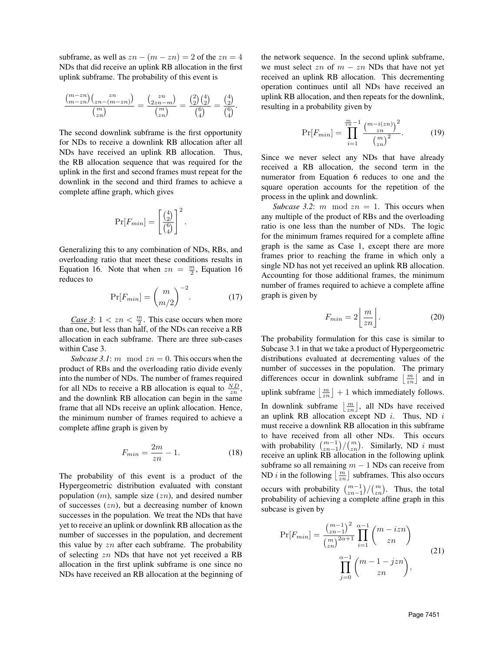subframe, as well as  $zn - (m - zn) = 2$  of the  $zn = 4$ NDs that did receive an uplink RB allocation in the first uplink subframe. The probability of this event is

$$
\frac{\binom{m-zn}{m-zn}\binom{zn}{zn-(m-zn)}}{\binom{m}{zn}} = \frac{\binom{zn}{2zn-m}}{\binom{m}{zn}} = \frac{\binom{2}{2}\binom{4}{2}}{\binom{6}{4}} = \frac{\binom{4}{2}}{\binom{6}{4}}.
$$

The second downlink subframe is the first opportunity for NDs to receive a downlink RB allocation after all NDs have received an uplink RB allocation. Thus, the RB allocation sequence that was required for the uplink in the first and second frames must repeat for the downlink in the second and third frames to achieve a complete affine graph, which gives

$$
\Pr[F_{min}] = \left[\frac{\binom{4}{2}}{\binom{6}{4}}\right]^2
$$

Generalizing this to any combination of NDs, RBs, and overloading ratio that meet these conditions results in Equation 16. Note that when  $zn = \frac{m}{2}$ , Equation 16 reduces to

$$
\Pr[F_{min}] = \binom{m}{m/2}^{-2}.\tag{17}
$$

.

*Case 3*:  $1 < zn < \frac{m}{2}$ . This case occurs when more than one, but less than half, of the NDs can receive a RB allocation in each subframe. There are three sub-cases within Case 3.

*Subcase 3.1*: *m* mod  $zn = 0$ . This occurs when the product of RBs and the overloading ratio divide evenly into the number of NDs. The number of frames required for all NDs to receive a RB allocation is equal to  $\frac{ND}{zn}$ , and the downlink RB allocation can begin in the same frame that all NDs receive an uplink allocation. Hence, the minimum number of frames required to achieve a complete affine graph is given by

$$
F_{min} = \frac{2m}{zn} - 1.
$$
\n(18)

The probability of this event is a product of the Hypergeometric distribution evaluated with constant population  $(m)$ , sample size  $(zn)$ , and desired number of successes  $(zn)$ , but a decreasing number of known successes in the population. We treat the NDs that have yet to receive an uplink or downlink RB allocation as the number of successes in the population, and decrement this value by  $zn$  after each subframe. The probability of selecting zn NDs that have not yet received a RB allocation in the first uplink subframe is one since no NDs have received an RB allocation at the beginning of the network sequence. In the second uplink subframe, we must select zn of  $m - zn$  NDs that have not yet received an uplink RB allocation. This decrementing operation continues until all NDs have received an uplink RB allocation, and then repeats for the downlink, resulting in a probability given by

$$
\Pr[F_{min}] = \prod_{i=1}^{\frac{m}{zn}-1} \frac{\binom{m-i(zn)}{zn}^2}{\binom{m}{zn}^2}.
$$
 (19)

Since we never select any NDs that have already received a RB allocation, the second term in the numerator from Equation 6 reduces to one and the square operation accounts for the repetition of the process in the uplink and downlink.

*Subcase 3.2*: *m* mod  $zn = 1$ . This occurs when any multiple of the product of RBs and the overloading ratio is one less than the number of NDs. The logic for the minimum frames required for a complete affine graph is the same as Case 1, except there are more frames prior to reaching the frame in which only a single ND has not yet received an uplink RB allocation. Accounting for those additional frames, the minimum number of frames required to achieve a complete affine graph is given by

$$
F_{min} = 2\left\lfloor \frac{m}{zn} \right\rfloor. \tag{20}
$$

The probability formulation for this case is similar to Subcase 3.1 in that we take a product of Hypergeometric distributions evaluated at decrementing values of the number of successes in the population. The primary differences occur in downlink subframe  $\lfloor \frac{m}{zn} \rfloor$  and in uplink subframe  $\left\lfloor \frac{m}{zn} \right\rfloor + 1$  which immediately follows. In downlink subframe  $\lfloor \frac{m}{2n} \rfloor$ , all NDs have received an uplink RB allocation except ND  $i$ . Thus, ND  $i$ must receive a downlink RB allocation in this subframe to have received from all other NDs. This occurs with probability  $\binom{m-1}{2n}\binom{m}{2n}$ . Similarly, ND i must receive an uplink RB allocation in the following uplink subframe so all remaining  $m - 1$  NDs can receive from ND *i* in the following  $\lfloor \frac{m}{zn} \rfloor$  subframes. This also occurs occurs with probability  $\binom{m-1}{zn-1}/\binom{m}{zn}$ . Thus, the total probability of achieving a complete affine graph in this subcase is given by

$$
\Pr[F_{min}] = \frac{\binom{m-1}{zn-1}^2}{\binom{m}{zn}^{2\alpha+1}} \prod_{i=1}^{\alpha-1} \binom{m-izn}{zn}
$$
\n
$$
\prod_{j=0}^{\alpha-1} \binom{m-1-jzn}{zn},
$$
\n(21)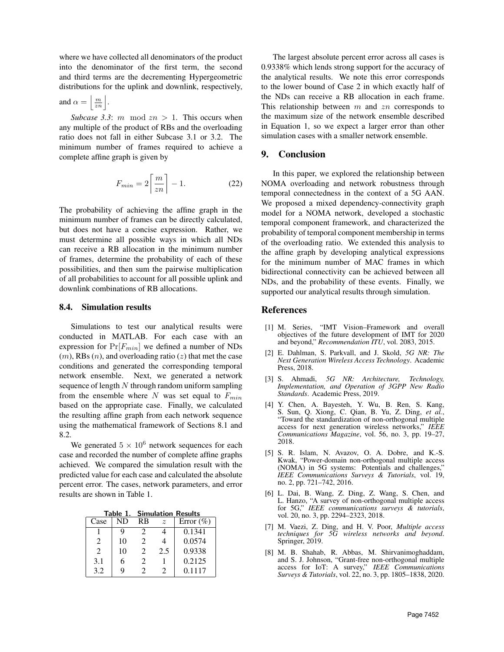where we have collected all denominators of the product into the denominator of the first term, the second and third terms are the decrementing Hypergeometric distributions for the uplink and downlink, respectively,

and 
$$
\alpha = \left\lfloor \frac{m}{z_n} \right\rfloor
$$

 $\mathbf{I}$ 

.

*Subcase 3.3:*  $m \mod zn > 1$ . This occurs when any multiple of the product of RBs and the overloading ratio does not fall in either Subcase 3.1 or 3.2. The minimum number of frames required to achieve a complete affine graph is given by

$$
F_{min} = 2\left\lceil \frac{m}{zn} \right\rceil - 1. \tag{22}
$$

The probability of achieving the affine graph in the minimum number of frames can be directly calculated, but does not have a concise expression. Rather, we must determine all possible ways in which all NDs can receive a RB allocation in the minimum number of frames, determine the probability of each of these possibilities, and then sum the pairwise multiplication of all probabilities to account for all possible uplink and downlink combinations of RB allocations.

### 8.4. Simulation results

Simulations to test our analytical results were conducted in MATLAB. For each case with an expression for  $Pr[F_{min}]$  we defined a number of NDs  $(m)$ , RBs  $(n)$ , and overloading ratio  $(z)$  that met the case conditions and generated the corresponding temporal network ensemble. Next, we generated a network sequence of length  $N$  through random uniform sampling from the ensemble where  $N$  was set equal to  $F_{min}$ based on the appropriate case. Finally, we calculated the resulting affine graph from each network sequence using the mathematical framework of Sections 8.1 and 8.2.

We generated  $5 \times 10^6$  network sequences for each case and recorded the number of complete affine graphs achieved. We compared the simulation result with the predicted value for each case and calculated the absolute percent error. The cases, network parameters, and error results are shown in Table 1.

Table 1. Simulation Results

| Case                        | ND | RB                          | $\tilde{z}$ | Error $(\% )$ |
|-----------------------------|----|-----------------------------|-------------|---------------|
|                             |    |                             |             | 0.1341        |
| 2                           | 10 | $\mathcal{D}_{\cdot}$       |             | 0.0574        |
| $\mathcal{D}_{\mathcal{L}}$ | 10 | $\mathcal{D}_{\mathcal{L}}$ | 2.5         | 0.9338        |
| 3.1                         | h  | 2                           |             | 0.2125        |
| 3.2                         |    |                             |             | 0.1117        |

The largest absolute percent error across all cases is 0.9338% which lends strong support for the accuracy of the analytical results. We note this error corresponds to the lower bound of Case 2 in which exactly half of the NDs can receive a RB allocation in each frame. This relationship between  $m$  and  $zn$  corresponds to the maximum size of the network ensemble described in Equation 1, so we expect a larger error than other simulation cases with a smaller network ensemble.

### 9. Conclusion

In this paper, we explored the relationship between NOMA overloading and network robustness through temporal connectedness in the context of a 5G AAN. We proposed a mixed dependency-connectivity graph model for a NOMA network, developed a stochastic temporal component framework, and characterized the probability of temporal component membership in terms of the overloading ratio. We extended this analysis to the affine graph by developing analytical expressions for the minimum number of MAC frames in which bidirectional connectivity can be achieved between all NDs, and the probability of these events. Finally, we supported our analytical results through simulation.

### References

- [1] M. Series, "IMT Vision–Framework and overall objectives of the future development of IMT for 2020 and beyond," *Recommendation ITU*, vol. 2083, 2015.
- [2] E. Dahlman, S. Parkvall, and J. Skold, *5G NR: The Next Generation Wireless Access Technology*. Academic Press, 2018.
- [3] S. Ahmadi, *5G NR: Architecture, Technology, Implementation, and Operation of 3GPP New Radio Standards*. Academic Press, 2019.
- [4] Y. Chen, A. Bayesteh, Y. Wu, B. Ren, S. Kang, S. Sun, Q. Xiong, C. Qian, B. Yu, Z. Ding, *et al.*, "Toward the standardization of non-orthogonal multiple access for next generation wireless networks," *IEEE Communications Magazine*, vol. 56, no. 3, pp. 19–27, 2018.
- [5] S. R. Islam, N. Avazov, O. A. Dobre, and K.-S. Kwak, "Power-domain non-orthogonal multiple access (NOMA) in 5G systems: Potentials and challenges," *IEEE Communications Surveys & Tutorials*, vol. 19, no. 2, pp. 721–742, 2016.
- [6] L. Dai, B. Wang, Z. Ding, Z. Wang, S. Chen, and L. Hanzo, "A survey of non-orthogonal multiple access for 5G," *IEEE communications surveys & tutorials*, vol. 20, no. 3, pp. 2294–2323, 2018.
- [7] M. Vaezi, Z. Ding, and H. V. Poor, *Multiple access techniques for 5G wireless networks and beyond*. Springer, 2019.
- [8] M. B. Shahab, R. Abbas, M. Shirvanimoghaddam, and S. J. Johnson, "Grant-free non-orthogonal multiple access for IoT: A survey," *IEEE Communications Surveys & Tutorials*, vol. 22, no. 3, pp. 1805–1838, 2020.